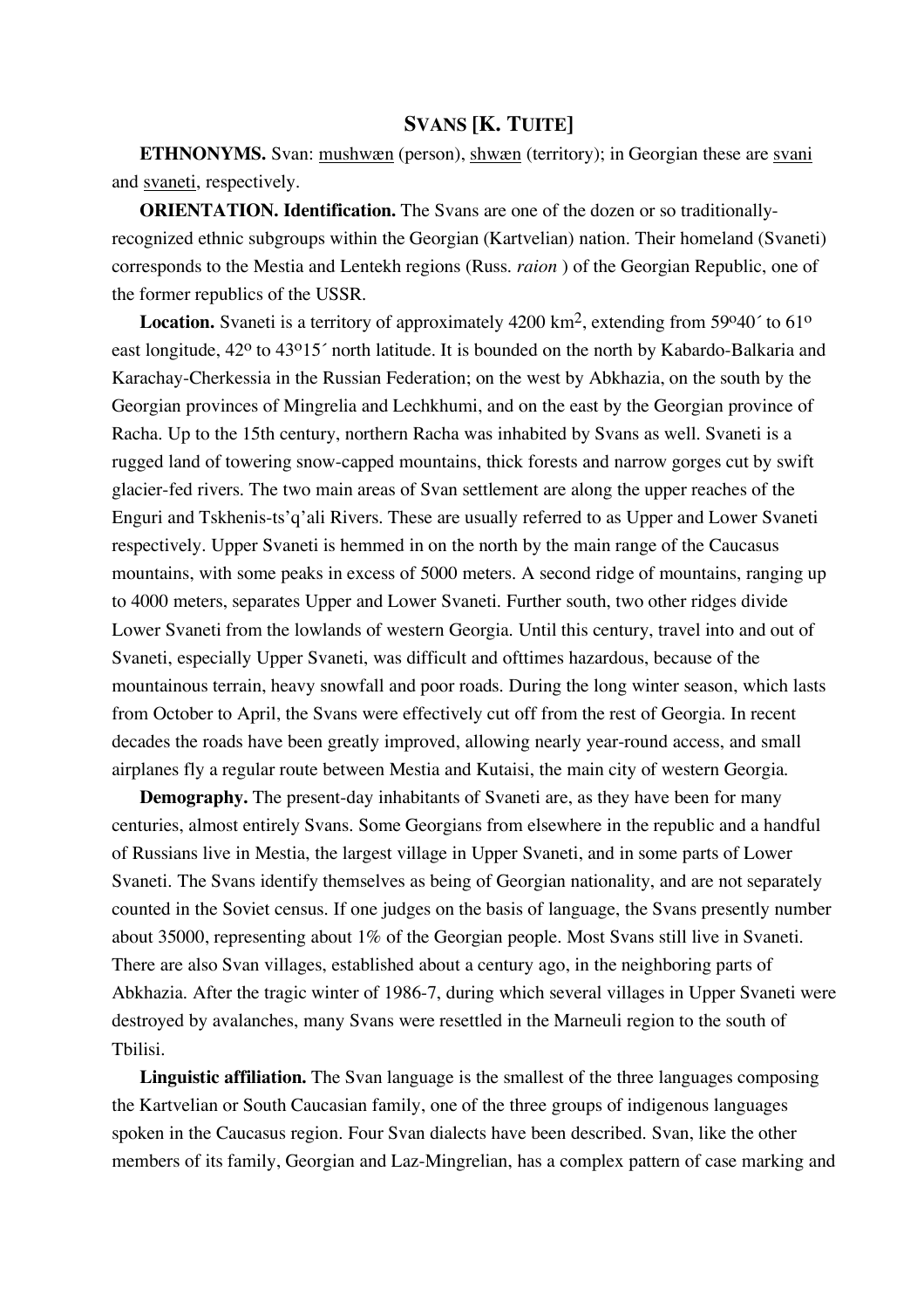## **SVANS [K. TUITE]**

**ETHNONYMS.** Svan: mushwæn (person), shwæn (territory); in Georgian these are svani and svaneti, respectively.

**ORIENTATION. Identification.** The Svans are one of the dozen or so traditionallyrecognized ethnic subgroups within the Georgian (Kartvelian) nation. Their homeland (Svaneti) corresponds to the Mestia and Lentekh regions (Russ. *raion* ) of the Georgian Republic, one of the former republics of the USSR.

Location. Svaneti is a territory of approximately 4200 km<sup>2</sup>, extending from 59°40' to 61° east longitude, 42<sup>o</sup> to 43<sup>o</sup>15<sup>'</sup> north latitude. It is bounded on the north by Kabardo-Balkaria and Karachay-Cherkessia in the Russian Federation; on the west by Abkhazia, on the south by the Georgian provinces of Mingrelia and Lechkhumi, and on the east by the Georgian province of Racha. Up to the 15th century, northern Racha was inhabited by Svans as well. Svaneti is a rugged land of towering snow-capped mountains, thick forests and narrow gorges cut by swift glacier-fed rivers. The two main areas of Svan settlement are along the upper reaches of the Enguri and Tskhenis-ts'q'ali Rivers. These are usually referred to as Upper and Lower Svaneti respectively. Upper Svaneti is hemmed in on the north by the main range of the Caucasus mountains, with some peaks in excess of 5000 meters. A second ridge of mountains, ranging up to 4000 meters, separates Upper and Lower Svaneti. Further south, two other ridges divide Lower Svaneti from the lowlands of western Georgia. Until this century, travel into and out of Svaneti, especially Upper Svaneti, was difficult and ofttimes hazardous, because of the mountainous terrain, heavy snowfall and poor roads. During the long winter season, which lasts from October to April, the Svans were effectively cut off from the rest of Georgia. In recent decades the roads have been greatly improved, allowing nearly year-round access, and small airplanes fly a regular route between Mestia and Kutaisi, the main city of western Georgia.

**Demography.** The present-day inhabitants of Svaneti are, as they have been for many centuries, almost entirely Svans. Some Georgians from elsewhere in the republic and a handful of Russians live in Mestia, the largest village in Upper Svaneti, and in some parts of Lower Svaneti. The Svans identify themselves as being of Georgian nationality, and are not separately counted in the Soviet census. If one judges on the basis of language, the Svans presently number about 35000, representing about 1% of the Georgian people. Most Svans still live in Svaneti. There are also Svan villages, established about a century ago, in the neighboring parts of Abkhazia. After the tragic winter of 1986-7, during which several villages in Upper Svaneti were destroyed by avalanches, many Svans were resettled in the Marneuli region to the south of Tbilisi.

**Linguistic affiliation.** The Svan language is the smallest of the three languages composing the Kartvelian or South Caucasian family, one of the three groups of indigenous languages spoken in the Caucasus region. Four Svan dialects have been described. Svan, like the other members of its family, Georgian and Laz-Mingrelian, has a complex pattern of case marking and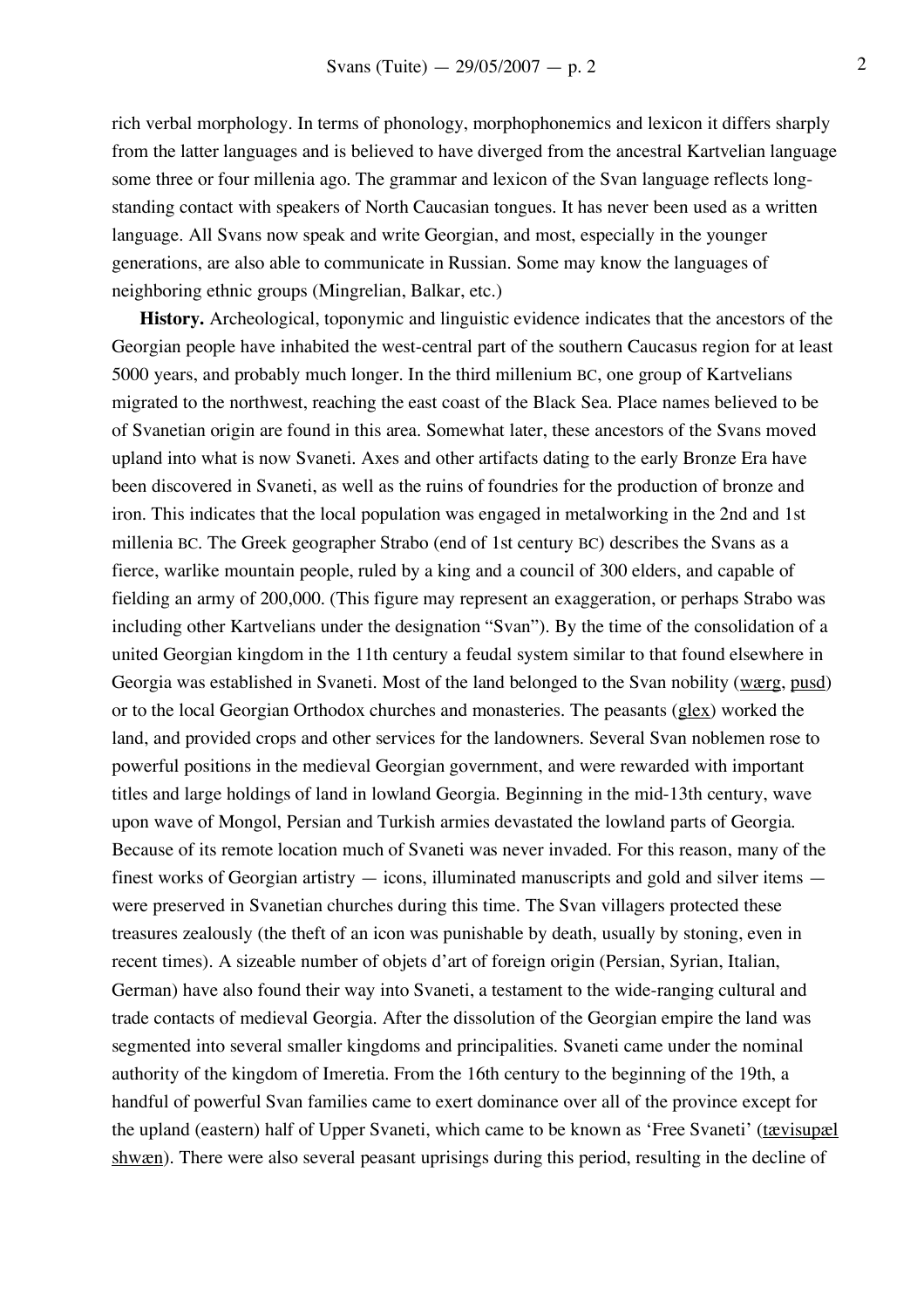rich verbal morphology. In terms of phonology, morphophonemics and lexicon it differs sharply from the latter languages and is believed to have diverged from the ancestral Kartvelian language some three or four millenia ago. The grammar and lexicon of the Svan language reflects longstanding contact with speakers of North Caucasian tongues. It has never been used as a written language. All Svans now speak and write Georgian, and most, especially in the younger generations, are also able to communicate in Russian. Some may know the languages of neighboring ethnic groups (Mingrelian, Balkar, etc.)

**History.** Archeological, toponymic and linguistic evidence indicates that the ancestors of the Georgian people have inhabited the west-central part of the southern Caucasus region for at least 5000 years, and probably much longer. In the third millenium BC, one group of Kartvelians migrated to the northwest, reaching the east coast of the Black Sea. Place names believed to be of Svanetian origin are found in this area. Somewhat later, these ancestors of the Svans moved upland into what is now Svaneti. Axes and other artifacts dating to the early Bronze Era have been discovered in Svaneti, as well as the ruins of foundries for the production of bronze and iron. This indicates that the local population was engaged in metalworking in the 2nd and 1st millenia BC. The Greek geographer Strabo (end of 1st century BC) describes the Svans as a fierce, warlike mountain people, ruled by a king and a council of 300 elders, and capable of fielding an army of 200,000. (This figure may represent an exaggeration, or perhaps Strabo was including other Kartvelians under the designation "Svan"). By the time of the consolidation of a united Georgian kingdom in the 11th century a feudal system similar to that found elsewhere in Georgia was established in Svaneti. Most of the land belonged to the Svan nobility (wærg, pusd) or to the local Georgian Orthodox churches and monasteries. The peasants (glex) worked the land, and provided crops and other services for the landowners. Several Svan noblemen rose to powerful positions in the medieval Georgian government, and were rewarded with important titles and large holdings of land in lowland Georgia. Beginning in the mid-13th century, wave upon wave of Mongol, Persian and Turkish armies devastated the lowland parts of Georgia. Because of its remote location much of Svaneti was never invaded. For this reason, many of the finest works of Georgian artistry — icons, illuminated manuscripts and gold and silver items were preserved in Svanetian churches during this time. The Svan villagers protected these treasures zealously (the theft of an icon was punishable by death, usually by stoning, even in recent times). A sizeable number of objets d'art of foreign origin (Persian, Syrian, Italian, German) have also found their way into Svaneti, a testament to the wide-ranging cultural and trade contacts of medieval Georgia. After the dissolution of the Georgian empire the land was segmented into several smaller kingdoms and principalities. Svaneti came under the nominal authority of the kingdom of Imeretia. From the 16th century to the beginning of the 19th, a handful of powerful Svan families came to exert dominance over all of the province except for the upland (eastern) half of Upper Svaneti, which came to be known as 'Free Svaneti' (tævisupæl shwæn). There were also several peasant uprisings during this period, resulting in the decline of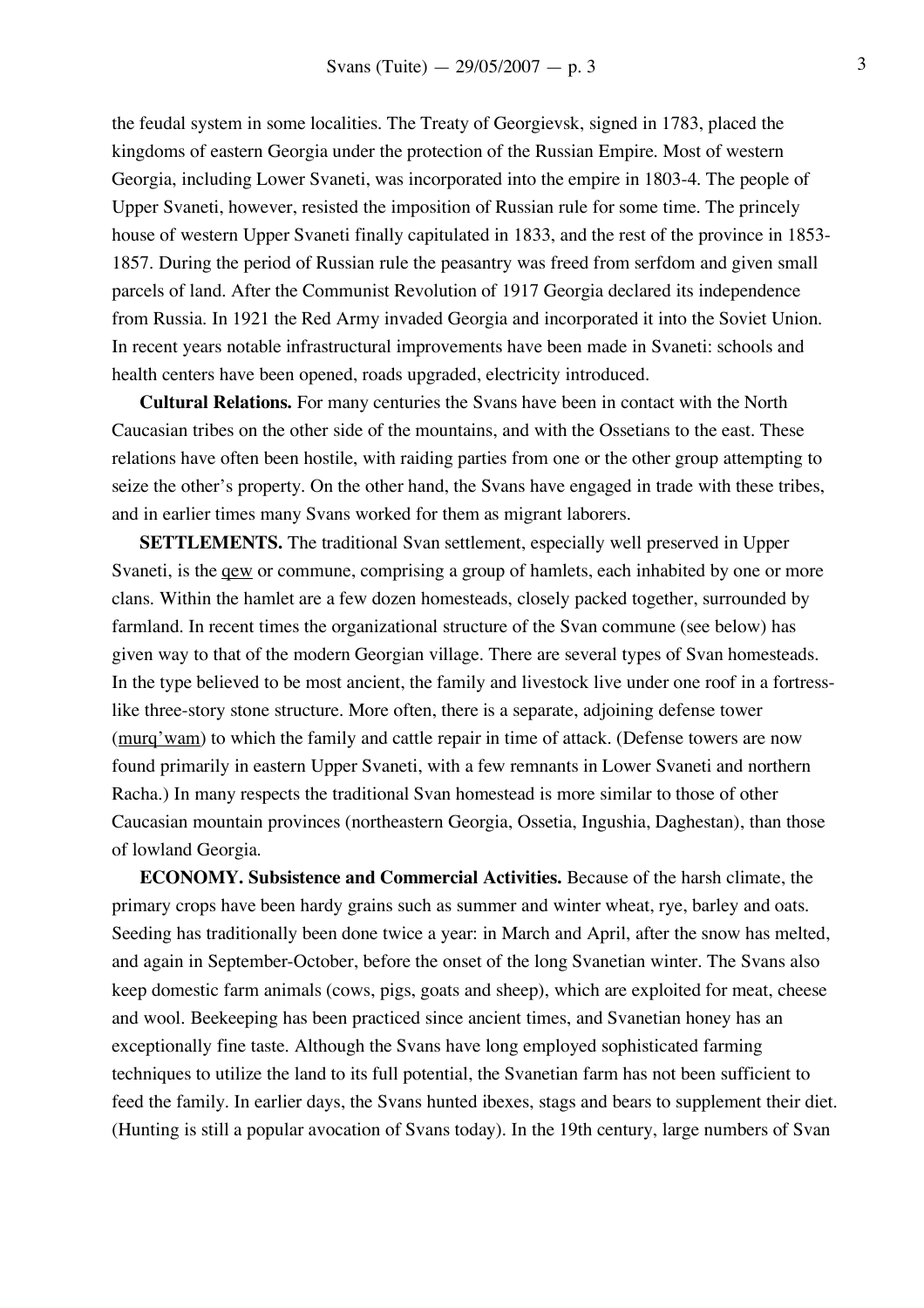the feudal system in some localities. The Treaty of Georgievsk, signed in 1783, placed the kingdoms of eastern Georgia under the protection of the Russian Empire. Most of western Georgia, including Lower Svaneti, was incorporated into the empire in 1803-4. The people of Upper Svaneti, however, resisted the imposition of Russian rule for some time. The princely house of western Upper Svaneti finally capitulated in 1833, and the rest of the province in 1853- 1857. During the period of Russian rule the peasantry was freed from serfdom and given small parcels of land. After the Communist Revolution of 1917 Georgia declared its independence from Russia. In 1921 the Red Army invaded Georgia and incorporated it into the Soviet Union. In recent years notable infrastructural improvements have been made in Svaneti: schools and health centers have been opened, roads upgraded, electricity introduced.

**Cultural Relations.** For many centuries the Svans have been in contact with the North Caucasian tribes on the other side of the mountains, and with the Ossetians to the east. These relations have often been hostile, with raiding parties from one or the other group attempting to seize the other's property. On the other hand, the Svans have engaged in trade with these tribes, and in earlier times many Svans worked for them as migrant laborers.

**SETTLEMENTS.** The traditional Svan settlement, especially well preserved in Upper Svaneti, is the qew or commune, comprising a group of hamlets, each inhabited by one or more clans. Within the hamlet are a few dozen homesteads, closely packed together, surrounded by farmland. In recent times the organizational structure of the Svan commune (see below) has given way to that of the modern Georgian village. There are several types of Svan homesteads. In the type believed to be most ancient, the family and livestock live under one roof in a fortresslike three-story stone structure. More often, there is a separate, adjoining defense tower (murq'wam) to which the family and cattle repair in time of attack. (Defense towers are now found primarily in eastern Upper Svaneti, with a few remnants in Lower Svaneti and northern Racha.) In many respects the traditional Svan homestead is more similar to those of other Caucasian mountain provinces (northeastern Georgia, Ossetia, Ingushia, Daghestan), than those of lowland Georgia.

**ECONOMY. Subsistence and Commercial Activities.** Because of the harsh climate, the primary crops have been hardy grains such as summer and winter wheat, rye, barley and oats. Seeding has traditionally been done twice a year: in March and April, after the snow has melted, and again in September-October, before the onset of the long Svanetian winter. The Svans also keep domestic farm animals (cows, pigs, goats and sheep), which are exploited for meat, cheese and wool. Beekeeping has been practiced since ancient times, and Svanetian honey has an exceptionally fine taste. Although the Svans have long employed sophisticated farming techniques to utilize the land to its full potential, the Svanetian farm has not been sufficient to feed the family. In earlier days, the Svans hunted ibexes, stags and bears to supplement their diet. (Hunting is still a popular avocation of Svans today). In the 19th century, large numbers of Svan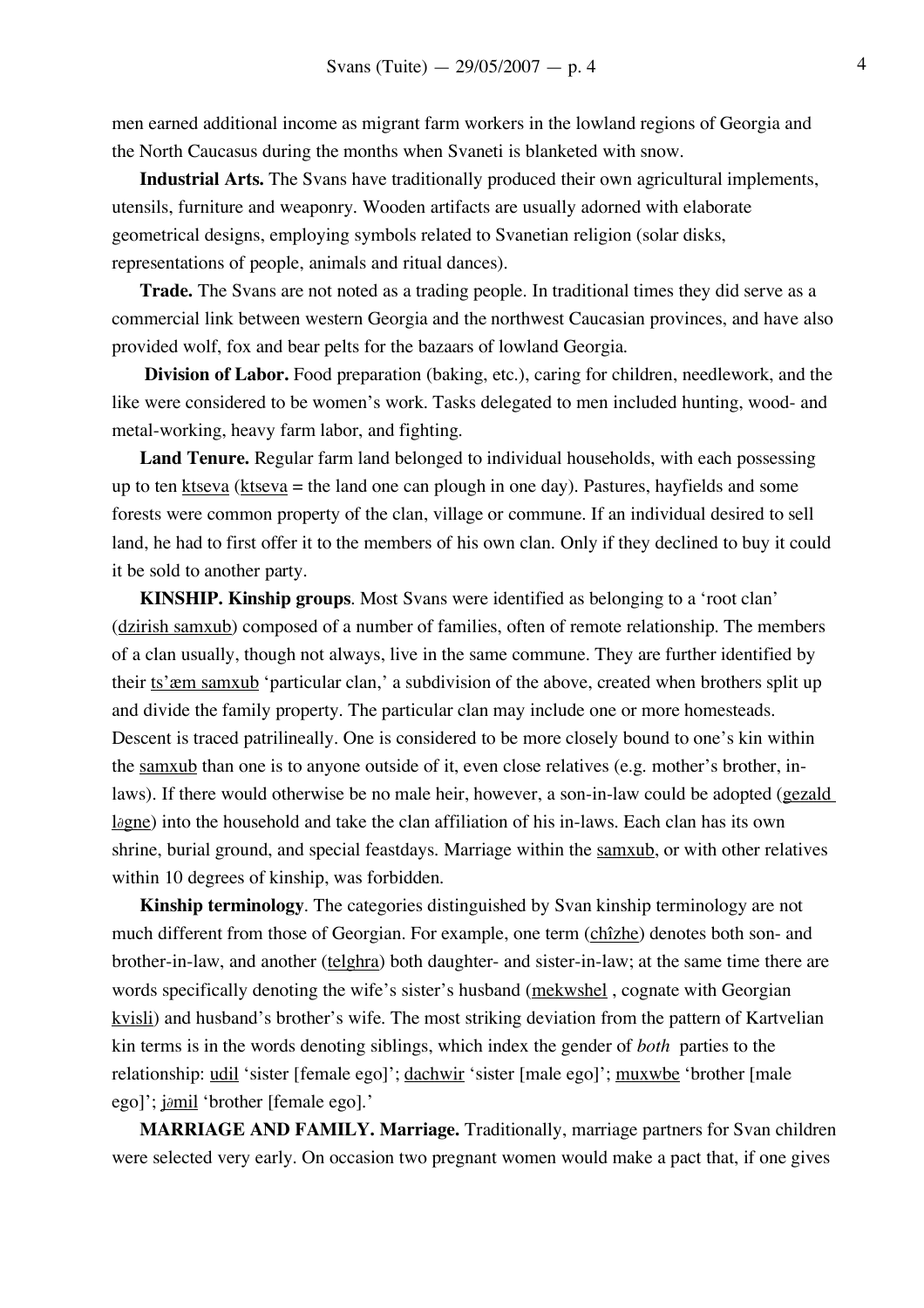men earned additional income as migrant farm workers in the lowland regions of Georgia and the North Caucasus during the months when Svaneti is blanketed with snow.

**Industrial Arts.** The Svans have traditionally produced their own agricultural implements, utensils, furniture and weaponry. Wooden artifacts are usually adorned with elaborate geometrical designs, employing symbols related to Svanetian religion (solar disks, representations of people, animals and ritual dances).

**Trade.** The Svans are not noted as a trading people. In traditional times they did serve as a commercial link between western Georgia and the northwest Caucasian provinces, and have also provided wolf, fox and bear pelts for the bazaars of lowland Georgia.

**Division of Labor.** Food preparation (baking, etc.), caring for children, needlework, and the like were considered to be women's work. Tasks delegated to men included hunting, wood- and metal-working, heavy farm labor, and fighting.

**Land Tenure.** Regular farm land belonged to individual households, with each possessing up to ten  $k$ tseva ( $k$ tseva = the land one can plough in one day). Pastures, hayfields and some forests were common property of the clan, village or commune. If an individual desired to sell land, he had to first offer it to the members of his own clan. Only if they declined to buy it could it be sold to another party.

**KINSHIP. Kinship groups**. Most Svans were identified as belonging to a 'root clan' (dzirish samxub) composed of a number of families, often of remote relationship. The members of a clan usually, though not always, live in the same commune. They are further identified by their ts'æm samxub 'particular clan,' a subdivision of the above, created when brothers split up and divide the family property. The particular clan may include one or more homesteads. Descent is traced patrilineally. One is considered to be more closely bound to one's kin within the samxub than one is to anyone outside of it, even close relatives (e.g. mother's brother, inlaws). If there would otherwise be no male heir, however, a son-in-law could be adopted (gezald l∂gne) into the household and take the clan affiliation of his in-laws. Each clan has its own shrine, burial ground, and special feastdays. Marriage within the samxub, or with other relatives within 10 degrees of kinship, was forbidden.

**Kinship terminology**. The categories distinguished by Svan kinship terminology are not much different from those of Georgian. For example, one term (chîzhe) denotes both son- and brother-in-law, and another (telghra) both daughter- and sister-in-law; at the same time there are words specifically denoting the wife's sister's husband (mekwshel, cognate with Georgian kvisli) and husband's brother's wife. The most striking deviation from the pattern of Kartvelian kin terms is in the words denoting siblings, which index the gender of *both* parties to the relationship: udil 'sister [female ego]'; dachwir 'sister [male ego]'; muxwbe 'brother [male ego]'; j∂mil 'brother [female ego].'

**MARRIAGE AND FAMILY. Marriage.** Traditionally, marriage partners for Svan children were selected very early. On occasion two pregnant women would make a pact that, if one gives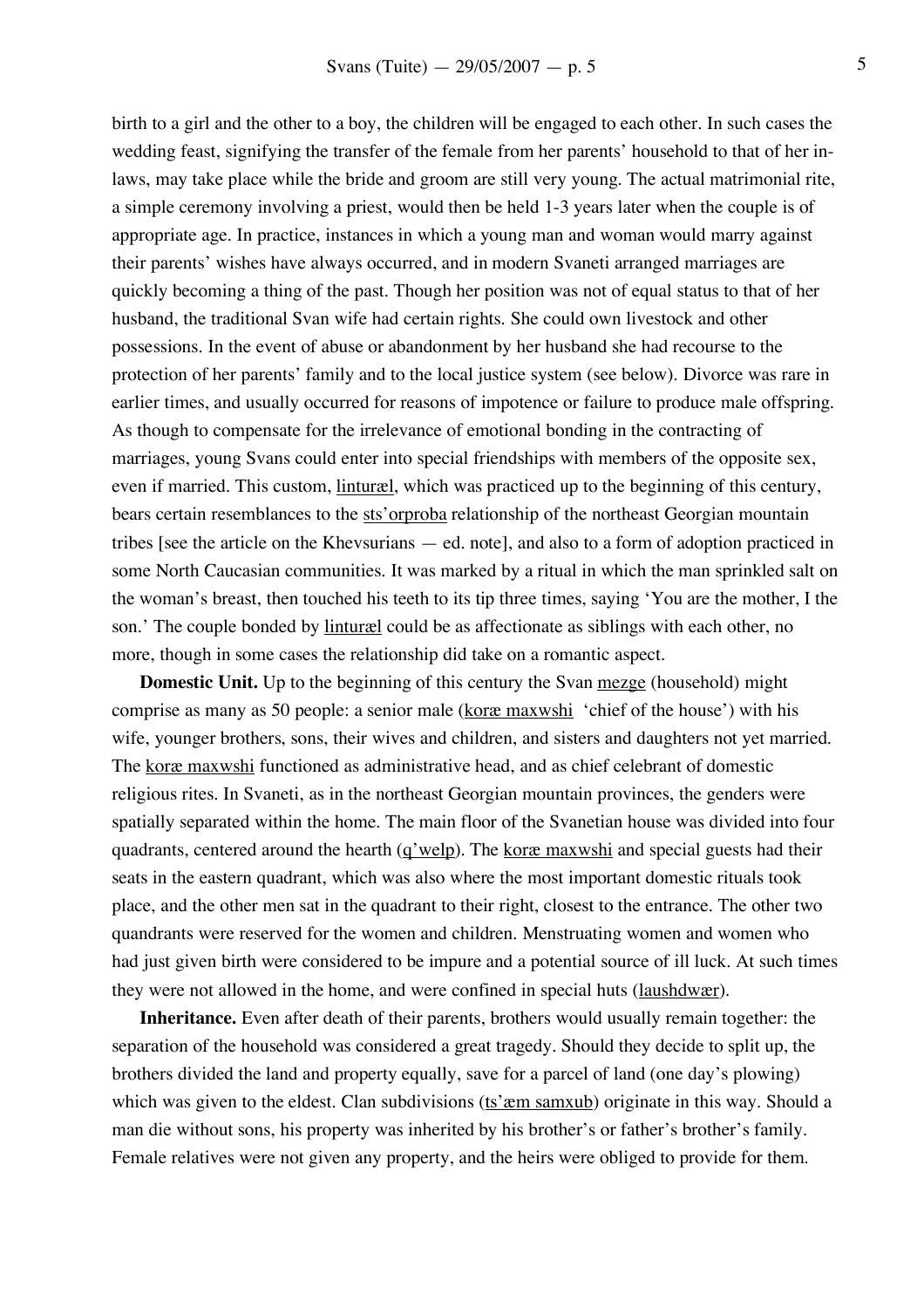birth to a girl and the other to a boy, the children will be engaged to each other. In such cases the wedding feast, signifying the transfer of the female from her parents' household to that of her inlaws, may take place while the bride and groom are still very young. The actual matrimonial rite, a simple ceremony involving a priest, would then be held 1-3 years later when the couple is of appropriate age. In practice, instances in which a young man and woman would marry against their parents' wishes have always occurred, and in modern Svaneti arranged marriages are quickly becoming a thing of the past. Though her position was not of equal status to that of her husband, the traditional Svan wife had certain rights. She could own livestock and other possessions. In the event of abuse or abandonment by her husband she had recourse to the protection of her parents' family and to the local justice system (see below). Divorce was rare in earlier times, and usually occurred for reasons of impotence or failure to produce male offspring. As though to compensate for the irrelevance of emotional bonding in the contracting of marriages, young Svans could enter into special friendships with members of the opposite sex, even if married. This custom, *linturæl*, which was practiced up to the beginning of this century, bears certain resemblances to the sts'orproba relationship of the northeast Georgian mountain tribes [see the article on the Khevsurians — ed. note], and also to a form of adoption practiced in some North Caucasian communities. It was marked by a ritual in which the man sprinkled salt on the woman's breast, then touched his teeth to its tip three times, saying 'You are the mother, I the son.' The couple bonded by <u>linturæl</u> could be as affectionate as siblings with each other, no more, though in some cases the relationship did take on a romantic aspect.

**Domestic Unit.** Up to the beginning of this century the Svan mezge (household) might comprise as many as 50 people: a senior male (koræ maxwshi 'chief of the house') with his wife, younger brothers, sons, their wives and children, and sisters and daughters not yet married. The koræ maxwshi functioned as administrative head, and as chief celebrant of domestic religious rites. In Svaneti, as in the northeast Georgian mountain provinces, the genders were spatially separated within the home. The main floor of the Svanetian house was divided into four quadrants, centered around the hearth  $(q'$  welp). The kor $\alpha$  maxwshi and special guests had their seats in the eastern quadrant, which was also where the most important domestic rituals took place, and the other men sat in the quadrant to their right, closest to the entrance. The other two quandrants were reserved for the women and children. Menstruating women and women who had just given birth were considered to be impure and a potential source of ill luck. At such times they were not allowed in the home, and were confined in special huts (laushdwær).

**Inheritance.** Even after death of their parents, brothers would usually remain together: the separation of the household was considered a great tragedy. Should they decide to split up, the brothers divided the land and property equally, save for a parcel of land (one day's plowing) which was given to the eldest. Clan subdivisions (ts'  $x$ m samxub) originate in this way. Should a man die without sons, his property was inherited by his brother's or father's brother's family. Female relatives were not given any property, and the heirs were obliged to provide for them.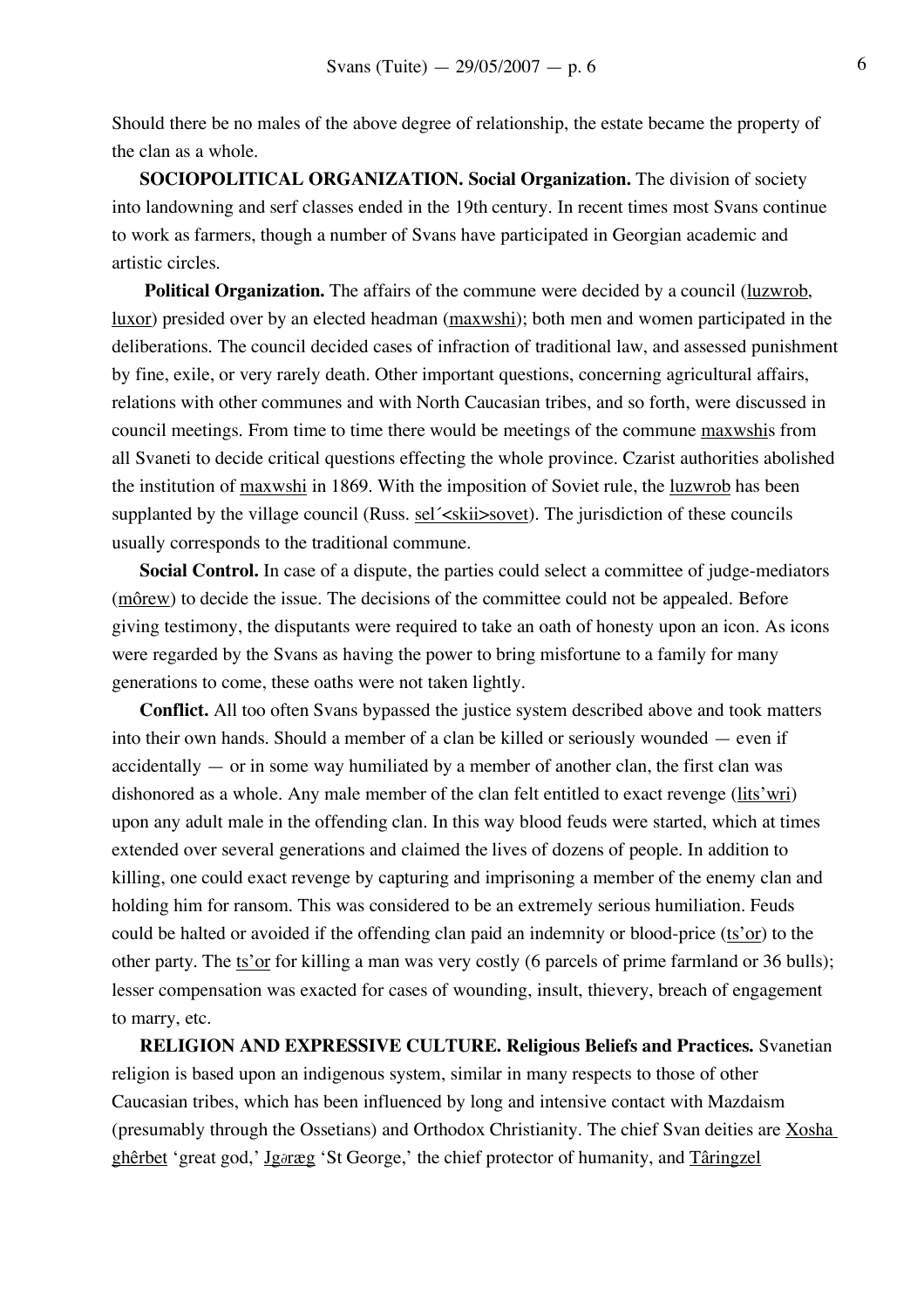Should there be no males of the above degree of relationship, the estate became the property of the clan as a whole.

**SOCIOPOLITICAL ORGANIZATION. Social Organization.** The division of society into landowning and serf classes ended in the 19th century. In recent times most Svans continue to work as farmers, though a number of Svans have participated in Georgian academic and artistic circles.

**Political Organization.** The affairs of the commune were decided by a council (luzwrob, luxor) presided over by an elected headman (maxwshi); both men and women participated in the deliberations. The council decided cases of infraction of traditional law, and assessed punishment by fine, exile, or very rarely death. Other important questions, concerning agricultural affairs, relations with other communes and with North Caucasian tribes, and so forth, were discussed in council meetings. From time to time there would be meetings of the commune maxwshis from all Svaneti to decide critical questions effecting the whole province. Czarist authorities abolished the institution of maxwshi in 1869. With the imposition of Soviet rule, the luzwrob has been supplanted by the village council (Russ. sel<sup>'</sup> skii > sovet). The jurisdiction of these councils usually corresponds to the traditional commune.

**Social Control.** In case of a dispute, the parties could select a committee of judge-mediators (môrew) to decide the issue. The decisions of the committee could not be appealed. Before giving testimony, the disputants were required to take an oath of honesty upon an icon. As icons were regarded by the Svans as having the power to bring misfortune to a family for many generations to come, these oaths were not taken lightly.

**Conflict.** All too often Svans bypassed the justice system described above and took matters into their own hands. Should a member of a clan be killed or seriously wounded — even if accidentally — or in some way humiliated by a member of another clan, the first clan was dishonored as a whole. Any male member of the clan felt entitled to exact revenge (lits'wri) upon any adult male in the offending clan. In this way blood feuds were started, which at times extended over several generations and claimed the lives of dozens of people. In addition to killing, one could exact revenge by capturing and imprisoning a member of the enemy clan and holding him for ransom. This was considered to be an extremely serious humiliation. Feuds could be halted or avoided if the offending clan paid an indemnity or blood-price ( $ts'$ or) to the other party. The ts'or for killing a man was very costly (6 parcels of prime farmland or 36 bulls); lesser compensation was exacted for cases of wounding, insult, thievery, breach of engagement to marry, etc.

**RELIGION AND EXPRESSIVE CULTURE. Religious Beliefs and Practices.** Svanetian religion is based upon an indigenous system, similar in many respects to those of other Caucasian tribes, which has been influenced by long and intensive contact with Mazdaism (presumably through the Ossetians) and Orthodox Christianity. The chief Svan deities are Xosha ghêrbet 'great god,' Jg∂ræg 'St George,' the chief protector of humanity, and Târingzel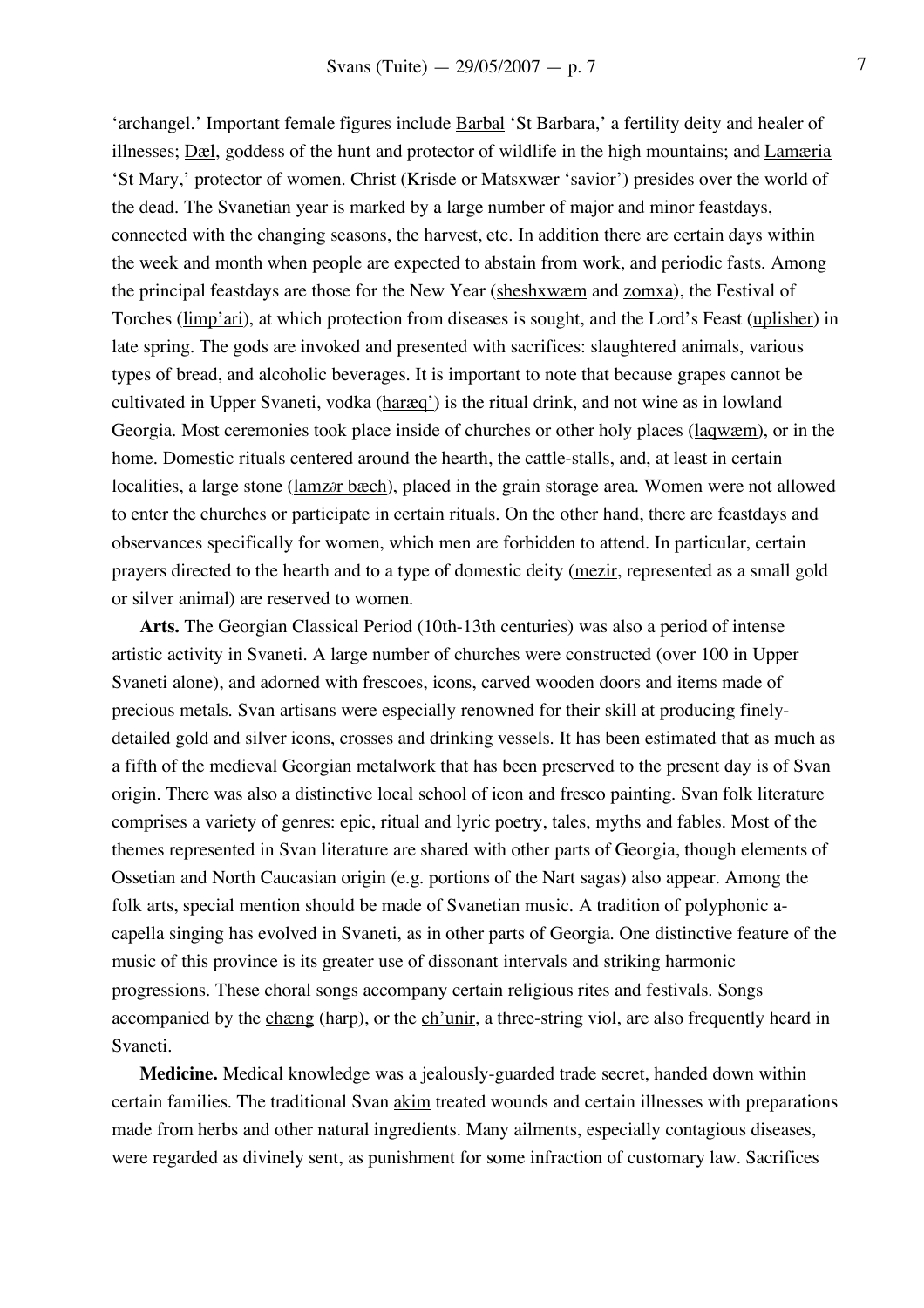'archangel.' Important female figures include Barbal 'St Barbara,' a fertility deity and healer of illnesses; Dæl, goddess of the hunt and protector of wildlife in the high mountains; and Lamæria 'St Mary,' protector of women. Christ (Krisde or Matsxwær 'savior') presides over the world of the dead. The Svanetian year is marked by a large number of major and minor feastdays, connected with the changing seasons, the harvest, etc. In addition there are certain days within the week and month when people are expected to abstain from work, and periodic fasts. Among the principal feastdays are those for the New Year (sheshxwæm and zomxa), the Festival of Torches (limp'ari), at which protection from diseases is sought, and the Lord's Feast (uplisher) in late spring. The gods are invoked and presented with sacrifices: slaughtered animals, various types of bread, and alcoholic beverages. It is important to note that because grapes cannot be cultivated in Upper Svaneti, vodka (haræq') is the ritual drink, and not wine as in lowland Georgia. Most ceremonies took place inside of churches or other holy places (laqwæm), or in the home. Domestic rituals centered around the hearth, the cattle-stalls, and, at least in certain localities, a large stone (lamz∂r bæch), placed in the grain storage area. Women were not allowed to enter the churches or participate in certain rituals. On the other hand, there are feastdays and observances specifically for women, which men are forbidden to attend. In particular, certain prayers directed to the hearth and to a type of domestic deity (mezir, represented as a small gold or silver animal) are reserved to women.

**Arts.** The Georgian Classical Period (10th-13th centuries) was also a period of intense artistic activity in Svaneti. A large number of churches were constructed (over 100 in Upper Svaneti alone), and adorned with frescoes, icons, carved wooden doors and items made of precious metals. Svan artisans were especially renowned for their skill at producing finelydetailed gold and silver icons, crosses and drinking vessels. It has been estimated that as much as a fifth of the medieval Georgian metalwork that has been preserved to the present day is of Svan origin. There was also a distinctive local school of icon and fresco painting. Svan folk literature comprises a variety of genres: epic, ritual and lyric poetry, tales, myths and fables. Most of the themes represented in Svan literature are shared with other parts of Georgia, though elements of Ossetian and North Caucasian origin (e.g. portions of the Nart sagas) also appear. Among the folk arts, special mention should be made of Svanetian music. A tradition of polyphonic acapella singing has evolved in Svaneti, as in other parts of Georgia. One distinctive feature of the music of this province is its greater use of dissonant intervals and striking harmonic progressions. These choral songs accompany certain religious rites and festivals. Songs accompanied by the chæng (harp), or the ch'unir, a three-string viol, are also frequently heard in Svaneti.

**Medicine.** Medical knowledge was a jealously-guarded trade secret, handed down within certain families. The traditional Svan akim treated wounds and certain illnesses with preparations made from herbs and other natural ingredients. Many ailments, especially contagious diseases, were regarded as divinely sent, as punishment for some infraction of customary law. Sacrifices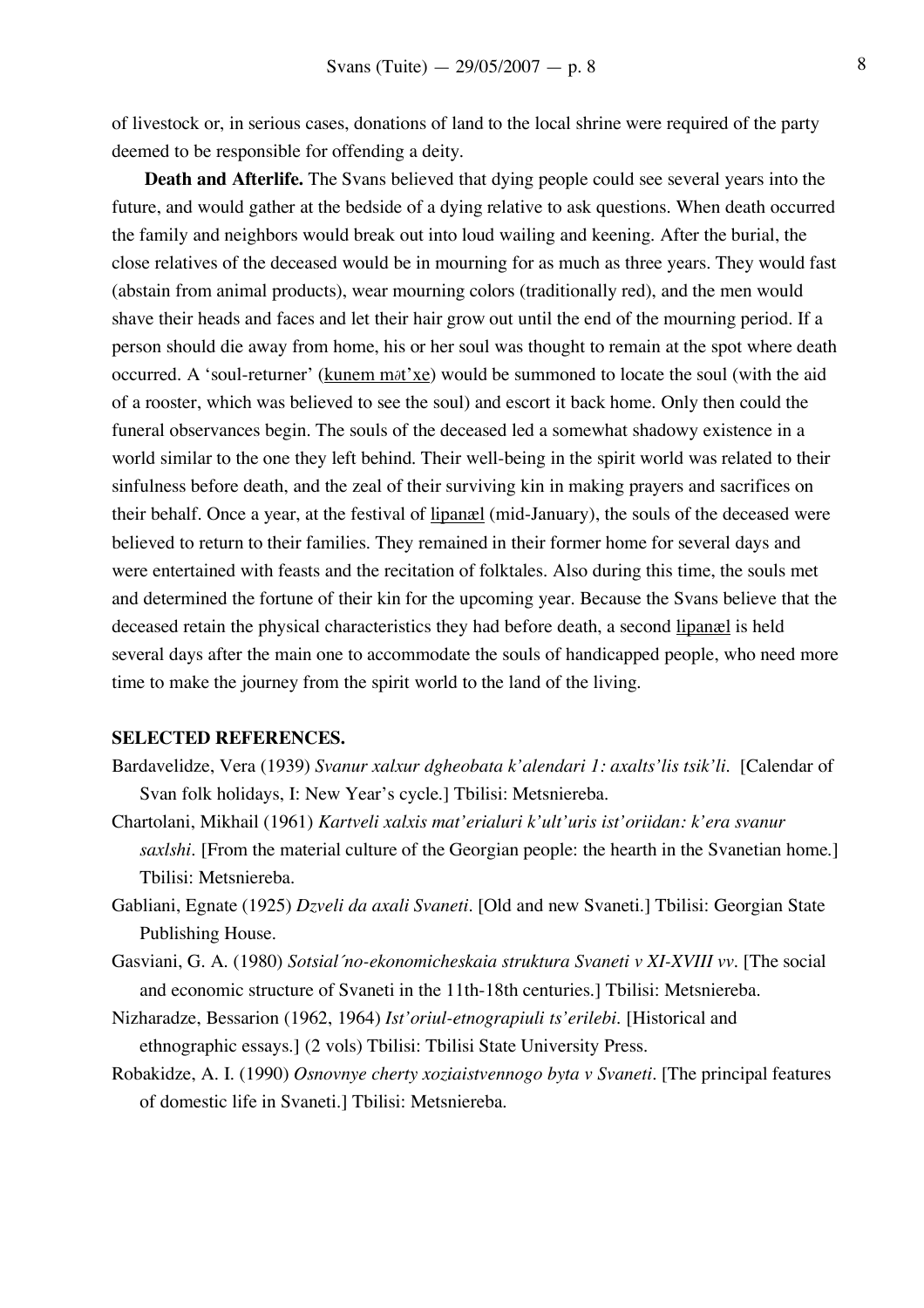of livestock or, in serious cases, donations of land to the local shrine were required of the party deemed to be responsible for offending a deity.

**Death and Afterlife.** The Svans believed that dying people could see several years into the future, and would gather at the bedside of a dying relative to ask questions. When death occurred the family and neighbors would break out into loud wailing and keening. After the burial, the close relatives of the deceased would be in mourning for as much as three years. They would fast (abstain from animal products), wear mourning colors (traditionally red), and the men would shave their heads and faces and let their hair grow out until the end of the mourning period. If a person should die away from home, his or her soul was thought to remain at the spot where death occurred. A 'soul-returner' (kunem m∂t'xe) would be summoned to locate the soul (with the aid of a rooster, which was believed to see the soul) and escort it back home. Only then could the funeral observances begin. The souls of the deceased led a somewhat shadowy existence in a world similar to the one they left behind. Their well-being in the spirit world was related to their sinfulness before death, and the zeal of their surviving kin in making prayers and sacrifices on their behalf. Once a year, at the festival of lipanæl (mid-January), the souls of the deceased were believed to return to their families. They remained in their former home for several days and were entertained with feasts and the recitation of folktales. Also during this time, the souls met and determined the fortune of their kin for the upcoming year. Because the Svans believe that the deceased retain the physical characteristics they had before death, a second lipanæl is held several days after the main one to accommodate the souls of handicapped people, who need more time to make the journey from the spirit world to the land of the living.

## **SELECTED REFERENCES.**

- Bardavelidze, Vera (1939) *Svanur xalxur dgheobata k'alendari 1: axalts'lis tsik'li.* [Calendar of Svan folk holidays, I: New Year's cycle.] Tbilisi: Metsniereba.
- Chartolani, Mikhail (1961) *Kartveli xalxis mat'erialuri k'ult'uris ist'oriidan: k'era svanur saxlshi.* [From the material culture of the Georgian people: the hearth in the Svanetian home.] Tbilisi: Metsniereba.
- Gabliani, Egnate (1925) *Dzveli da axali Svaneti.* [Old and new Svaneti.] Tbilisi: Georgian State Publishing House.
- Gasviani, G. A. (1980) *Sotsial´no-ekonomicheskaia struktura Svaneti v XI-XVIII vv.* [The social and economic structure of Svaneti in the 11th-18th centuries.] Tbilisi: Metsniereba.
- Nizharadze, Bessarion (1962, 1964) *Ist'oriul-etnograpiuli ts'erilebi.* [Historical and ethnographic essays.] (2 vols) Tbilisi: Tbilisi State University Press.
- Robakidze, A. I. (1990) *Osnovnye cherty xoziaistvennogo byta v Svaneti.* [The principal features of domestic life in Svaneti.] Tbilisi: Metsniereba.